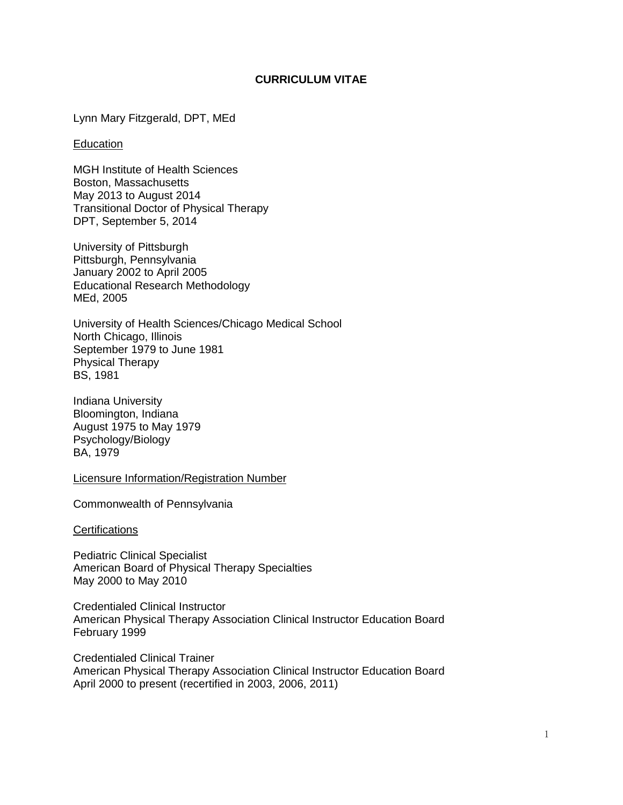# **CURRICULUM VITAE**

Lynn Mary Fitzgerald, DPT, MEd

### **Education**

MGH Institute of Health Sciences Boston, Massachusetts May 2013 to August 2014 Transitional Doctor of Physical Therapy DPT, September 5, 2014

University of Pittsburgh Pittsburgh, Pennsylvania January 2002 to April 2005 Educational Research Methodology MEd, 2005

University of Health Sciences/Chicago Medical School North Chicago, Illinois September 1979 to June 1981 Physical Therapy BS, 1981

Indiana University Bloomington, Indiana August 1975 to May 1979 Psychology/Biology BA, 1979

Licensure Information/Registration Number

Commonwealth of Pennsylvania

**Certifications** 

Pediatric Clinical Specialist American Board of Physical Therapy Specialties May 2000 to May 2010

Credentialed Clinical Instructor American Physical Therapy Association Clinical Instructor Education Board February 1999

Credentialed Clinical Trainer American Physical Therapy Association Clinical Instructor Education Board April 2000 to present (recertified in 2003, 2006, 2011)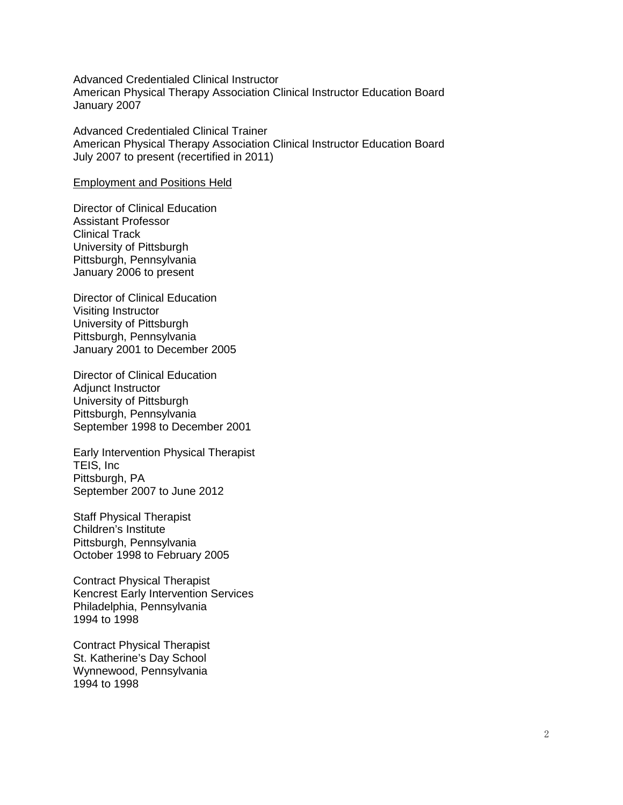Advanced Credentialed Clinical Instructor American Physical Therapy Association Clinical Instructor Education Board January 2007

Advanced Credentialed Clinical Trainer American Physical Therapy Association Clinical Instructor Education Board July 2007 to present (recertified in 2011)

Employment and Positions Held

Director of Clinical Education Assistant Professor Clinical Track University of Pittsburgh Pittsburgh, Pennsylvania January 2006 to present

Director of Clinical Education Visiting Instructor University of Pittsburgh Pittsburgh, Pennsylvania January 2001 to December 2005

Director of Clinical Education Adjunct Instructor University of Pittsburgh Pittsburgh, Pennsylvania September 1998 to December 2001

Early Intervention Physical Therapist TEIS, Inc Pittsburgh, PA September 2007 to June 2012

Staff Physical Therapist Children's Institute Pittsburgh, Pennsylvania October 1998 to February 2005

Contract Physical Therapist Kencrest Early Intervention Services Philadelphia, Pennsylvania 1994 to 1998

Contract Physical Therapist St. Katherine's Day School Wynnewood, Pennsylvania 1994 to 1998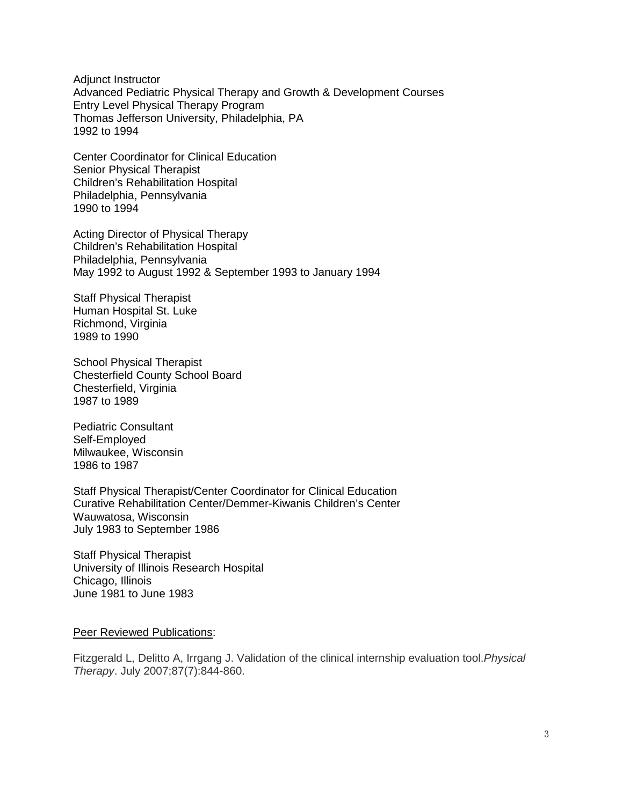Adjunct Instructor Advanced Pediatric Physical Therapy and Growth & Development Courses Entry Level Physical Therapy Program Thomas Jefferson University, Philadelphia, PA 1992 to 1994

Center Coordinator for Clinical Education Senior Physical Therapist Children's Rehabilitation Hospital Philadelphia, Pennsylvania 1990 to 1994

Acting Director of Physical Therapy Children's Rehabilitation Hospital Philadelphia, Pennsylvania May 1992 to August 1992 & September 1993 to January 1994

Staff Physical Therapist Human Hospital St. Luke Richmond, Virginia 1989 to 1990

School Physical Therapist Chesterfield County School Board Chesterfield, Virginia 1987 to 1989

Pediatric Consultant Self-Employed Milwaukee, Wisconsin 1986 to 1987

Staff Physical Therapist/Center Coordinator for Clinical Education Curative Rehabilitation Center/Demmer-Kiwanis Children's Center Wauwatosa, Wisconsin July 1983 to September 1986

Staff Physical Therapist University of Illinois Research Hospital Chicago, Illinois June 1981 to June 1983

Peer Reviewed Publications:

Fitzgerald L, Delitto A, Irrgang J. Validation of the clinical internship evaluation tool.*Physical Therapy*. July 2007;87(7):844-860.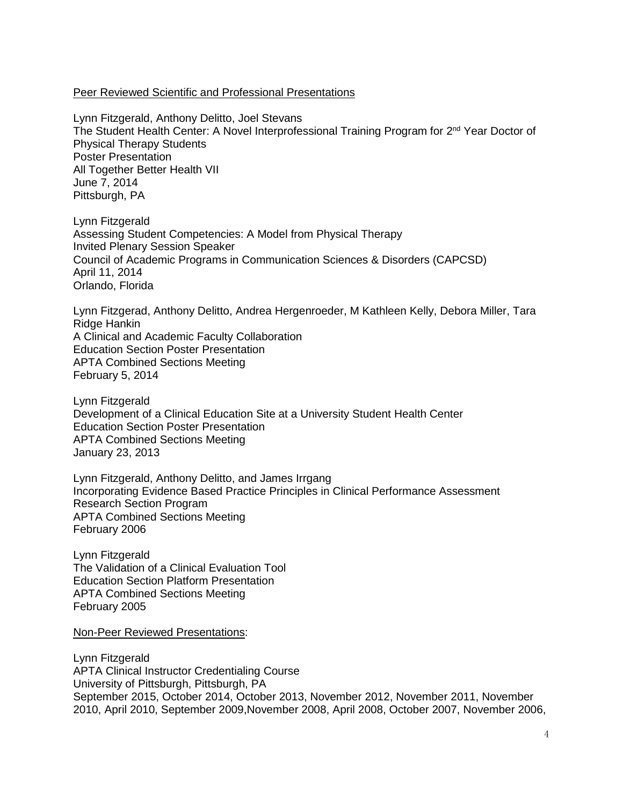### Peer Reviewed Scientific and Professional Presentations

Lynn Fitzgerald, Anthony Delitto, Joel Stevans The Student Health Center: A Novel Interprofessional Training Program for 2<sup>nd</sup> Year Doctor of Physical Therapy Students Poster Presentation All Together Better Health VII June 7, 2014 Pittsburgh, PA

Lynn Fitzgerald Assessing Student Competencies: A Model from Physical Therapy Invited Plenary Session Speaker Council of Academic Programs in Communication Sciences & Disorders (CAPCSD) April 11, 2014 Orlando, Florida

Lynn Fitzgerad, Anthony Delitto, Andrea Hergenroeder, M Kathleen Kelly, Debora Miller, Tara Ridge Hankin A Clinical and Academic Faculty Collaboration Education Section Poster Presentation APTA Combined Sections Meeting February 5, 2014

Lynn Fitzgerald Development of a Clinical Education Site at a University Student Health Center Education Section Poster Presentation APTA Combined Sections Meeting January 23, 2013

Lynn Fitzgerald, Anthony Delitto, and James Irrgang Incorporating Evidence Based Practice Principles in Clinical Performance Assessment Research Section Program APTA Combined Sections Meeting February 2006

Lynn Fitzgerald The Validation of a Clinical Evaluation Tool Education Section Platform Presentation APTA Combined Sections Meeting February 2005

Non-Peer Reviewed Presentations:

Lynn Fitzgerald APTA Clinical Instructor Credentialing Course University of Pittsburgh, Pittsburgh, PA September 2015, October 2014, October 2013, November 2012, November 2011, November 2010, April 2010, September 2009,November 2008, April 2008, October 2007, November 2006,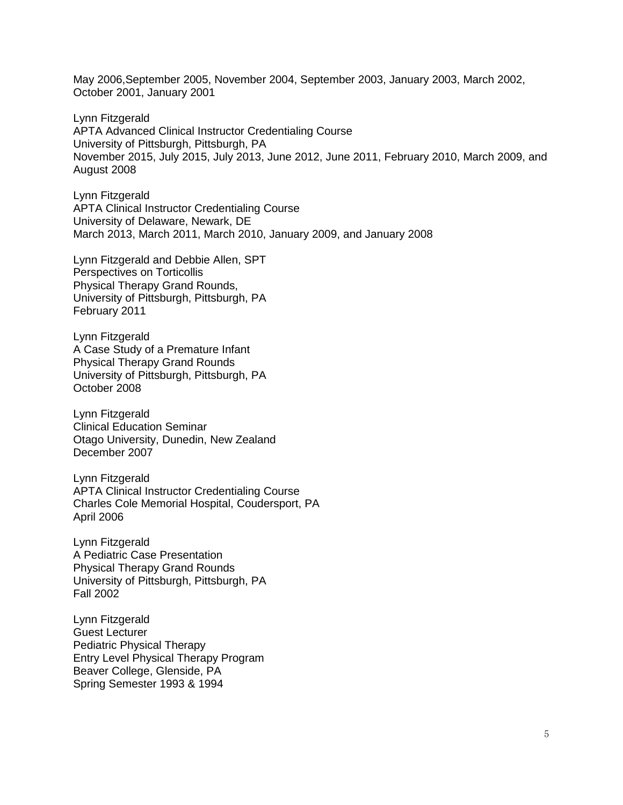May 2006,September 2005, November 2004, September 2003, January 2003, March 2002, October 2001, January 2001

Lynn Fitzgerald APTA Advanced Clinical Instructor Credentialing Course University of Pittsburgh, Pittsburgh, PA November 2015, July 2015, July 2013, June 2012, June 2011, February 2010, March 2009, and August 2008

Lynn Fitzgerald APTA Clinical Instructor Credentialing Course University of Delaware, Newark, DE March 2013, March 2011, March 2010, January 2009, and January 2008

Lynn Fitzgerald and Debbie Allen, SPT Perspectives on Torticollis Physical Therapy Grand Rounds, University of Pittsburgh, Pittsburgh, PA February 2011

Lynn Fitzgerald A Case Study of a Premature Infant Physical Therapy Grand Rounds University of Pittsburgh, Pittsburgh, PA October 2008

Lynn Fitzgerald Clinical Education Seminar Otago University, Dunedin, New Zealand December 2007

Lynn Fitzgerald APTA Clinical Instructor Credentialing Course Charles Cole Memorial Hospital, Coudersport, PA April 2006

Lynn Fitzgerald A Pediatric Case Presentation Physical Therapy Grand Rounds University of Pittsburgh, Pittsburgh, PA Fall 2002

Lynn Fitzgerald Guest Lecturer Pediatric Physical Therapy Entry Level Physical Therapy Program Beaver College, Glenside, PA Spring Semester 1993 & 1994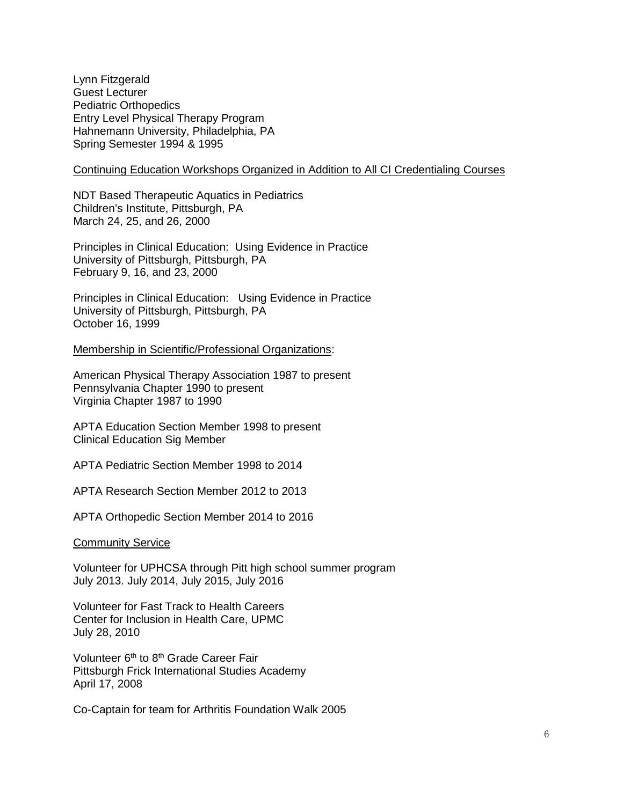Lynn Fitzgerald Guest Lecturer Pediatric Orthopedics Entry Level Physical Therapy Program Hahnemann University, Philadelphia, PA Spring Semester 1994 & 1995

#### Continuing Education Workshops Organized in Addition to All CI Credentialing Courses

NDT Based Therapeutic Aquatics in Pediatrics Children's Institute, Pittsburgh, PA March 24, 25, and 26, 2000

Principles in Clinical Education: Using Evidence in Practice University of Pittsburgh, Pittsburgh, PA February 9, 16, and 23, 2000

Principles in Clinical Education: Using Evidence in Practice University of Pittsburgh, Pittsburgh, PA October 16, 1999

Membership in Scientific/Professional Organizations:

American Physical Therapy Association 1987 to present Pennsylvania Chapter 1990 to present Virginia Chapter 1987 to 1990

APTA Education Section Member 1998 to present Clinical Education Sig Member

APTA Pediatric Section Member 1998 to 2014

APTA Research Section Member 2012 to 2013

APTA Orthopedic Section Member 2014 to 2016

Community Service

Volunteer for UPHCSA through Pitt high school summer program July 2013. July 2014, July 2015, July 2016

Volunteer for Fast Track to Health Careers Center for Inclusion in Health Care, UPMC July 28, 2010

Volunteer 6<sup>th</sup> to 8<sup>th</sup> Grade Career Fair Pittsburgh Frick International Studies Academy April 17, 2008

Co-Captain for team for Arthritis Foundation Walk 2005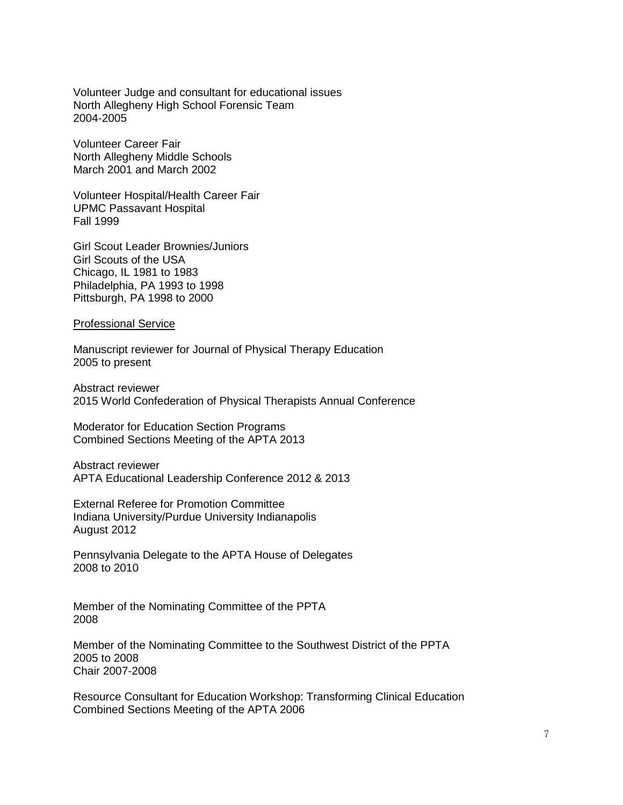Volunteer Judge and consultant for educational issues North Allegheny High School Forensic Team 2004-2005

Volunteer Career Fair North Allegheny Middle Schools March 2001 and March 2002

Volunteer Hospital/Health Career Fair UPMC Passavant Hospital Fall 1999

Girl Scout Leader Brownies/Juniors Girl Scouts of the USA Chicago, IL 1981 to 1983 Philadelphia, PA 1993 to 1998 Pittsburgh, PA 1998 to 2000

Professional Service

Manuscript reviewer for Journal of Physical Therapy Education 2005 to present

Abstract reviewer 2015 World Confederation of Physical Therapists Annual Conference

Moderator for Education Section Programs Combined Sections Meeting of the APTA 2013

Abstract reviewer APTA Educational Leadership Conference 2012 & 2013

External Referee for Promotion Committee Indiana University/Purdue University Indianapolis August 2012

Pennsylvania Delegate to the APTA House of Delegates 2008 to 2010

Member of the Nominating Committee of the PPTA 2008

Member of the Nominating Committee to the Southwest District of the PPTA 2005 to 2008 Chair 2007-2008

Resource Consultant for Education Workshop: Transforming Clinical Education Combined Sections Meeting of the APTA 2006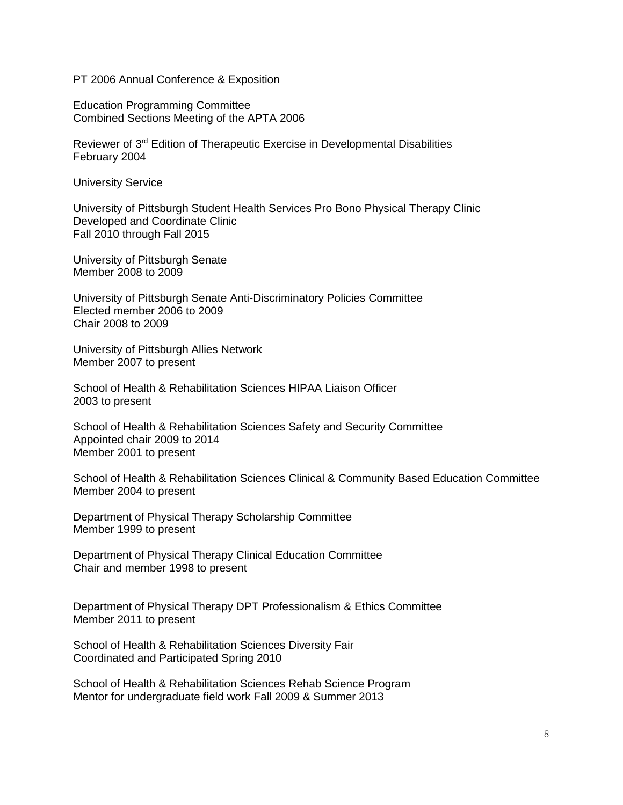#### PT 2006 Annual Conference & Exposition

Education Programming Committee Combined Sections Meeting of the APTA 2006

Reviewer of 3rd Edition of Therapeutic Exercise in Developmental Disabilities February 2004

University Service

University of Pittsburgh Student Health Services Pro Bono Physical Therapy Clinic Developed and Coordinate Clinic Fall 2010 through Fall 2015

University of Pittsburgh Senate Member 2008 to 2009

University of Pittsburgh Senate Anti-Discriminatory Policies Committee Elected member 2006 to 2009 Chair 2008 to 2009

University of Pittsburgh Allies Network Member 2007 to present

School of Health & Rehabilitation Sciences HIPAA Liaison Officer 2003 to present

School of Health & Rehabilitation Sciences Safety and Security Committee Appointed chair 2009 to 2014 Member 2001 to present

School of Health & Rehabilitation Sciences Clinical & Community Based Education Committee Member 2004 to present

Department of Physical Therapy Scholarship Committee Member 1999 to present

Department of Physical Therapy Clinical Education Committee Chair and member 1998 to present

Department of Physical Therapy DPT Professionalism & Ethics Committee Member 2011 to present

School of Health & Rehabilitation Sciences Diversity Fair Coordinated and Participated Spring 2010

School of Health & Rehabilitation Sciences Rehab Science Program Mentor for undergraduate field work Fall 2009 & Summer 2013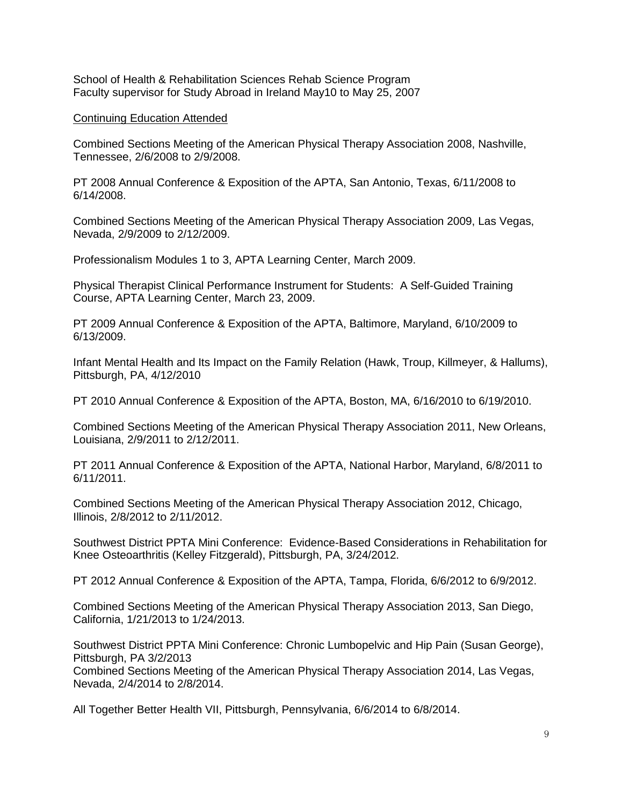School of Health & Rehabilitation Sciences Rehab Science Program Faculty supervisor for Study Abroad in Ireland May10 to May 25, 2007

### Continuing Education Attended

Combined Sections Meeting of the American Physical Therapy Association 2008, Nashville, Tennessee, 2/6/2008 to 2/9/2008.

PT 2008 Annual Conference & Exposition of the APTA, San Antonio, Texas, 6/11/2008 to 6/14/2008.

Combined Sections Meeting of the American Physical Therapy Association 2009, Las Vegas, Nevada, 2/9/2009 to 2/12/2009.

Professionalism Modules 1 to 3, APTA Learning Center, March 2009.

Physical Therapist Clinical Performance Instrument for Students: A Self-Guided Training Course, APTA Learning Center, March 23, 2009.

PT 2009 Annual Conference & Exposition of the APTA, Baltimore, Maryland, 6/10/2009 to 6/13/2009.

Infant Mental Health and Its Impact on the Family Relation (Hawk, Troup, Killmeyer, & Hallums), Pittsburgh, PA, 4/12/2010

PT 2010 Annual Conference & Exposition of the APTA, Boston, MA, 6/16/2010 to 6/19/2010.

Combined Sections Meeting of the American Physical Therapy Association 2011, New Orleans, Louisiana, 2/9/2011 to 2/12/2011.

PT 2011 Annual Conference & Exposition of the APTA, National Harbor, Maryland, 6/8/2011 to 6/11/2011.

Combined Sections Meeting of the American Physical Therapy Association 2012, Chicago, Illinois, 2/8/2012 to 2/11/2012.

Southwest District PPTA Mini Conference: Evidence-Based Considerations in Rehabilitation for Knee Osteoarthritis (Kelley Fitzgerald), Pittsburgh, PA, 3/24/2012.

PT 2012 Annual Conference & Exposition of the APTA, Tampa, Florida, 6/6/2012 to 6/9/2012.

Combined Sections Meeting of the American Physical Therapy Association 2013, San Diego, California, 1/21/2013 to 1/24/2013.

Southwest District PPTA Mini Conference: Chronic Lumbopelvic and Hip Pain (Susan George), Pittsburgh, PA 3/2/2013

Combined Sections Meeting of the American Physical Therapy Association 2014, Las Vegas, Nevada, 2/4/2014 to 2/8/2014.

All Together Better Health VII, Pittsburgh, Pennsylvania, 6/6/2014 to 6/8/2014.